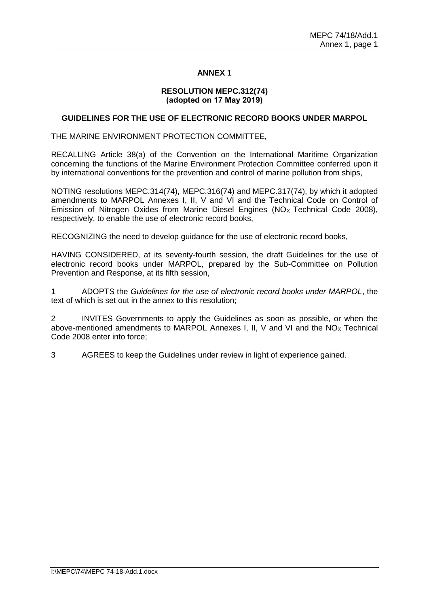# **ANNEX 1**

# **RESOLUTION MEPC.312(74) (adopted on 17 May 2019)**

### **GUIDELINES FOR THE USE OF ELECTRONIC RECORD BOOKS UNDER MARPOL**

THE MARINE ENVIRONMENT PROTECTION COMMITTEE,

RECALLING Article 38(a) of the Convention on the International Maritime Organization concerning the functions of the Marine Environment Protection Committee conferred upon it by international conventions for the prevention and control of marine pollution from ships,

NOTING resolutions MEPC.314(74), MEPC.316(74) and MEPC.317(74), by which it adopted amendments to MARPOL Annexes I, II, V and VI and the Technical Code on Control of Emission of Nitrogen Oxides from Marine Diesel Engines ( $NO<sub>x</sub>$  Technical Code 2008), respectively, to enable the use of electronic record books,

RECOGNIZING the need to develop guidance for the use of electronic record books,

HAVING CONSIDERED, at its seventy-fourth session, the draft Guidelines for the use of electronic record books under MARPOL, prepared by the Sub-Committee on Pollution Prevention and Response, at its fifth session,

1 ADOPTS the *Guidelines for the use of electronic record books under MARPOL*, the text of which is set out in the annex to this resolution;

2 INVITES Governments to apply the Guidelines as soon as possible, or when the above-mentioned amendments to MARPOL Annexes I, II, V and VI and the  $NO<sub>x</sub>$  Technical Code 2008 enter into force;

3 AGREES to keep the Guidelines under review in light of experience gained.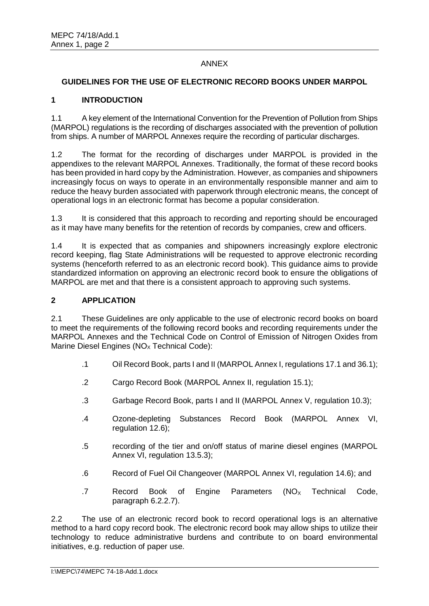# ANNEX

### **GUIDELINES FOR THE USE OF ELECTRONIC RECORD BOOKS UNDER MARPOL**

### **1 INTRODUCTION**

1.1 A key element of the International Convention for the Prevention of Pollution from Ships (MARPOL) regulations is the recording of discharges associated with the prevention of pollution from ships. A number of MARPOL Annexes require the recording of particular discharges.

1.2 The format for the recording of discharges under MARPOL is provided in the appendixes to the relevant MARPOL Annexes. Traditionally, the format of these record books has been provided in hard copy by the Administration. However, as companies and shipowners increasingly focus on ways to operate in an environmentally responsible manner and aim to reduce the heavy burden associated with paperwork through electronic means, the concept of operational logs in an electronic format has become a popular consideration.

1.3 It is considered that this approach to recording and reporting should be encouraged as it may have many benefits for the retention of records by companies, crew and officers.

1.4 It is expected that as companies and shipowners increasingly explore electronic record keeping, flag State Administrations will be requested to approve electronic recording systems (henceforth referred to as an electronic record book). This guidance aims to provide standardized information on approving an electronic record book to ensure the obligations of MARPOL are met and that there is a consistent approach to approving such systems.

### **2 APPLICATION**

2.1 These Guidelines are only applicable to the use of electronic record books on board to meet the requirements of the following record books and recording requirements under the MARPOL Annexes and the Technical Code on Control of Emission of Nitrogen Oxides from Marine Diesel Engines ( $NO<sub>x</sub>$  Technical Code):

- .1 Oil Record Book, parts I and II (MARPOL Annex I, regulations 17.1 and 36.1);
- .2 Cargo Record Book (MARPOL Annex II, regulation 15.1);
- .3 Garbage Record Book, parts I and II (MARPOL Annex V, regulation 10.3);
- .4 Ozone-depleting Substances Record Book (MARPOL Annex VI, regulation 12.6);
- .5 recording of the tier and on/off status of marine diesel engines (MARPOL Annex VI, regulation 13.5.3);
- .6 Record of Fuel Oil Changeover (MARPOL Annex VI, regulation 14.6); and
- .7 Record Book of Engine Parameters  $(NO<sub>X</sub>$  Technical Code, paragraph 6.2.2.7).

2.2 The use of an electronic record book to record operational logs is an alternative method to a hard copy record book. The electronic record book may allow ships to utilize their technology to reduce administrative burdens and contribute to on board environmental initiatives, e.g. reduction of paper use.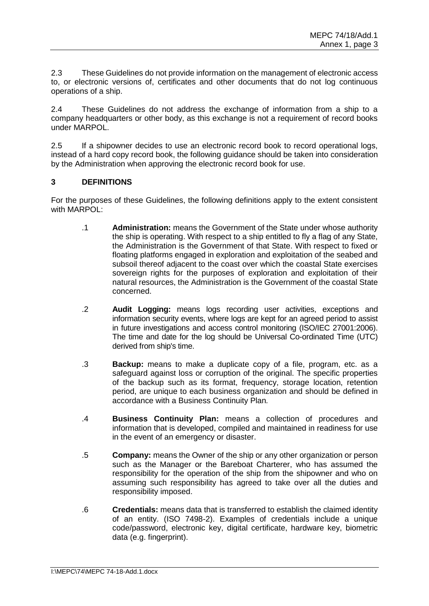2.3 These Guidelines do not provide information on the management of electronic access to, or electronic versions of, certificates and other documents that do not log continuous operations of a ship.

2.4 These Guidelines do not address the exchange of information from a ship to a company headquarters or other body, as this exchange is not a requirement of record books under MARPOL.

2.5 If a shipowner decides to use an electronic record book to record operational logs, instead of a hard copy record book, the following guidance should be taken into consideration by the Administration when approving the electronic record book for use.

# **3 DEFINITIONS**

For the purposes of these Guidelines, the following definitions apply to the extent consistent with MARPOL:

- .1 **Administration:** means the Government of the State under whose authority the ship is operating. With respect to a ship entitled to fly a flag of any State, the Administration is the Government of that State. With respect to fixed or floating platforms engaged in exploration and exploitation of the seabed and subsoil thereof adjacent to the coast over which the coastal State exercises sovereign rights for the purposes of exploration and exploitation of their natural resources, the Administration is the Government of the coastal State concerned.
- .2 **Audit Logging:** means logs recording user activities, exceptions and information security events, where logs are kept for an agreed period to assist in future investigations and access control monitoring (ISO/IEC 27001:2006). The time and date for the log should be Universal Co-ordinated Time (UTC) derived from ship's time.
- .3 **Backup:** means to make a duplicate copy of a file, program, etc. as a safeguard against loss or corruption of the original. The specific properties of the backup such as its format, frequency, storage location, retention period, are unique to each business organization and should be defined in accordance with a Business Continuity Plan*.*
- .4 **Business Continuity Plan:** means a collection of procedures and information that is developed, compiled and maintained in readiness for use in the event of an emergency or disaster.
- .5 **Company:** means the Owner of the ship or any other organization or person such as the Manager or the Bareboat Charterer, who has assumed the responsibility for the operation of the ship from the shipowner and who on assuming such responsibility has agreed to take over all the duties and responsibility imposed.
- .6 **Credentials:** means data that is transferred to establish the claimed identity of an entity. (ISO 7498-2). Examples of credentials include a unique code/password, electronic key, digital certificate, hardware key, biometric data (e.g. fingerprint).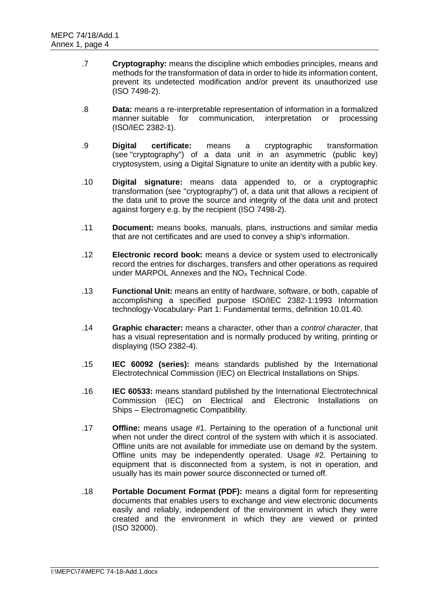- .7 **Cryptography:** means the discipline which embodies principles, means and methods for the transformation of data in order to hide its information content, prevent its undetected modification and/or prevent its unauthorized use (ISO 7498-2).
- .8 **Data:** means a re-interpretable representation of information in a formalized manner suitable for communication, interpretation or processing (ISO/IEC 2382-1).
- .9 **Digital certificate:** means a cryptographic transformation (see "cryptography") of a data unit in an asymmetric (public key) cryptosystem, using a Digital Signature to unite an identity with a public key.
- .10 **Digital signature:** means data appended to, or a cryptographic transformation (see "cryptography") of, a data unit that allows a recipient of the data unit to prove the source and integrity of the data unit and protect against forgery e.g. by the recipient (ISO 7498-2).
- .11 **Document:** means books, manuals, plans, instructions and similar media that are not certificates and are used to convey a ship's information.
- .12 **Electronic record book:** means a device or system used to electronically record the entries for discharges, transfers and other operations as required under MARPOL Annexes and the  $NO<sub>x</sub>$  Technical Code.
- .13 **Functional Unit:** means an entity of hardware, software, or both, capable of accomplishing a specified purpose ISO/IEC 2382-1:1993 Information technology-Vocabulary- Part 1: Fundamental terms, definition 10.01.40.
- .14 **Graphic character:** means a character, other than a *control character*, that has a visual representation and is normally produced by writing, printing or displaying (ISO 2382-4).
- .15 **IEC 60092 (series):** means standards published by the International Electrotechnical Commission (IEC) on Electrical Installations on Ships.
- .16 **IEC 60533:** means standard published by the International Electrotechnical Commission (IEC) on Electrical and Electronic Installations on Ships – Electromagnetic Compatibility.
- .17 **Offline:** means usage #1. Pertaining to the operation of a functional unit when not under the direct control of the system with which it is associated. Offline units are not available for immediate use on demand by the system. Offline units may be independently operated. Usage #2. Pertaining to equipment that is disconnected from a system, is not in operation, and usually has its main power source disconnected or turned off.
- .18 **Portable Document Format (PDF):** means a digital form for representing documents that enables users to exchange and view electronic documents easily and reliably, independent of the environment in which they were created and the environment in which they are viewed or printed (ISO 32000).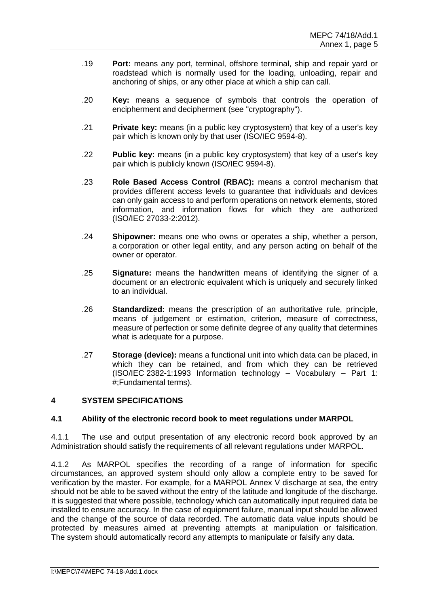- .19 **Port:** means any port, terminal, offshore terminal, ship and repair yard or roadstead which is normally used for the loading, unloading, repair and anchoring of ships, or any other place at which a ship can call.
- .20 **Key:** means a sequence of symbols that controls the operation of encipherment and decipherment (see "cryptography").
- .21 **Private key:** means (in a public key cryptosystem) that key of a user's key pair which is known only by that user (ISO/IEC 9594-8).
- .22 **Public key:** means (in a public key cryptosystem) that key of a user's key pair which is publicly known (ISO/IEC 9594-8).
- .23 **Role Based Access Control (RBAC):** means a control mechanism that provides different access levels to guarantee that individuals and devices can only gain access to and perform operations on network elements, stored information, and information flows for which they are authorized (ISO/IEC 27033-2:2012).
- .24 **Shipowner:** means one who owns or operates a ship, whether a person, a corporation or other legal entity, and any person acting on behalf of the owner or operator.
- .25 **Signature:** means the handwritten means of identifying the signer of a document or an electronic equivalent which is uniquely and securely linked to an individual.
- .26 **Standardized:** means the prescription of an authoritative rule, principle, means of judgement or estimation, criterion, measure of correctness, measure of perfection or some definite degree of any quality that determines what is adequate for a purpose.
- .27 **Storage (device):** means a functional unit into which data can be placed, in which they can be retained, and from which they can be retrieved (ISO/IEC 2382-1:1993 Information technology – Vocabulary – Part 1: #;Fundamental terms).

# **4 SYSTEM SPECIFICATIONS**

# **4.1 Ability of the electronic record book to meet regulations under MARPOL**

4.1.1 The use and output presentation of any electronic record book approved by an Administration should satisfy the requirements of all relevant regulations under MARPOL.

4.1.2 As MARPOL specifies the recording of a range of information for specific circumstances, an approved system should only allow a complete entry to be saved for verification by the master. For example, for a MARPOL Annex V discharge at sea, the entry should not be able to be saved without the entry of the latitude and longitude of the discharge. It is suggested that where possible, technology which can automatically input required data be installed to ensure accuracy. In the case of equipment failure, manual input should be allowed and the change of the source of data recorded. The automatic data value inputs should be protected by measures aimed at preventing attempts at manipulation or falsification. The system should automatically record any attempts to manipulate or falsify any data.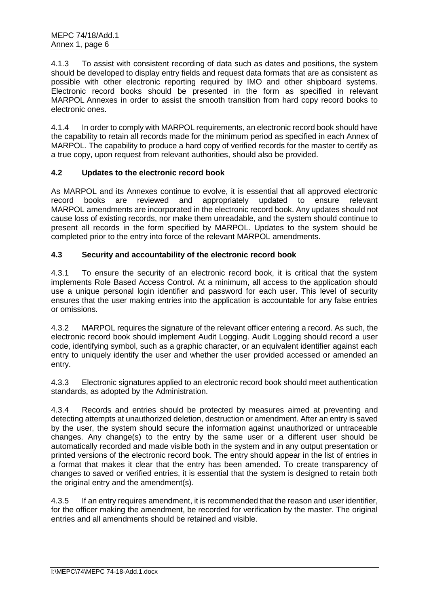4.1.3 To assist with consistent recording of data such as dates and positions, the system should be developed to display entry fields and request data formats that are as consistent as possible with other electronic reporting required by IMO and other shipboard systems. Electronic record books should be presented in the form as specified in relevant MARPOL Annexes in order to assist the smooth transition from hard copy record books to electronic ones.

4.1.4 In order to comply with MARPOL requirements, an electronic record book should have the capability to retain all records made for the minimum period as specified in each Annex of MARPOL. The capability to produce a hard copy of verified records for the master to certify as a true copy, upon request from relevant authorities, should also be provided.

# **4.2 Updates to the electronic record book**

As MARPOL and its Annexes continue to evolve, it is essential that all approved electronic record books are reviewed and appropriately updated to ensure relevant MARPOL amendments are incorporated in the electronic record book. Any updates should not cause loss of existing records, nor make them unreadable, and the system should continue to present all records in the form specified by MARPOL. Updates to the system should be completed prior to the entry into force of the relevant MARPOL amendments.

# **4.3 Security and accountability of the electronic record book**

4.3.1 To ensure the security of an electronic record book, it is critical that the system implements Role Based Access Control. At a minimum, all access to the application should use a unique personal login identifier and password for each user. This level of security ensures that the user making entries into the application is accountable for any false entries or omissions.

4.3.2 MARPOL requires the signature of the relevant officer entering a record. As such, the electronic record book should implement Audit Logging. Audit Logging should record a user code, identifying symbol, such as a graphic character, or an equivalent identifier against each entry to uniquely identify the user and whether the user provided accessed or amended an entry.

4.3.3 Electronic signatures applied to an electronic record book should meet authentication standards, as adopted by the Administration.

4.3.4 Records and entries should be protected by measures aimed at preventing and detecting attempts at unauthorized deletion, destruction or amendment. After an entry is saved by the user, the system should secure the information against unauthorized or untraceable changes. Any change(s) to the entry by the same user or a different user should be automatically recorded and made visible both in the system and in any output presentation or printed versions of the electronic record book. The entry should appear in the list of entries in a format that makes it clear that the entry has been amended. To create transparency of changes to saved or verified entries, it is essential that the system is designed to retain both the original entry and the amendment(s).

4.3.5 If an entry requires amendment, it is recommended that the reason and user identifier, for the officer making the amendment, be recorded for verification by the master. The original entries and all amendments should be retained and visible.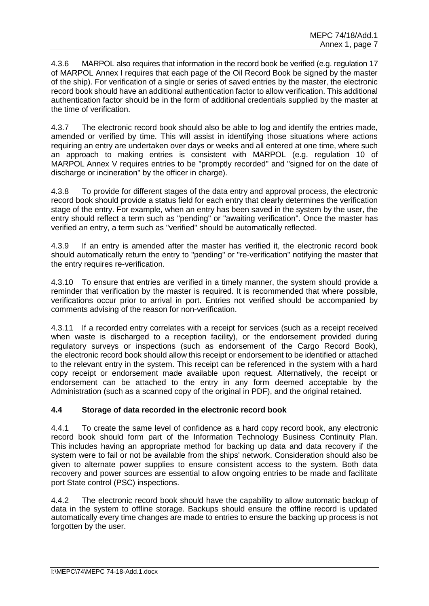4.3.6 MARPOL also requires that information in the record book be verified (e.g. regulation 17 of MARPOL Annex I requires that each page of the Oil Record Book be signed by the master of the ship). For verification of a single or series of saved entries by the master, the electronic record book should have an additional authentication factor to allow verification. This additional authentication factor should be in the form of additional credentials supplied by the master at the time of verification.

4.3.7 The electronic record book should also be able to log and identify the entries made, amended or verified by time. This will assist in identifying those situations where actions requiring an entry are undertaken over days or weeks and all entered at one time, where such an approach to making entries is consistent with MARPOL (e.g. regulation 10 of MARPOL Annex V requires entries to be "promptly recorded" and "signed for on the date of discharge or incineration" by the officer in charge).

4.3.8 To provide for different stages of the data entry and approval process, the electronic record book should provide a status field for each entry that clearly determines the verification stage of the entry. For example, when an entry has been saved in the system by the user, the entry should reflect a term such as "pending" or "awaiting verification". Once the master has verified an entry, a term such as "verified" should be automatically reflected.

4.3.9 If an entry is amended after the master has verified it, the electronic record book should automatically return the entry to "pending" or "re-verification" notifying the master that the entry requires re-verification.

4.3.10 To ensure that entries are verified in a timely manner, the system should provide a reminder that verification by the master is required. It is recommended that where possible, verifications occur prior to arrival in port. Entries not verified should be accompanied by comments advising of the reason for non-verification.

4.3.11 If a recorded entry correlates with a receipt for services (such as a receipt received when waste is discharged to a reception facility), or the endorsement provided during regulatory surveys or inspections (such as endorsement of the Cargo Record Book), the electronic record book should allow this receipt or endorsement to be identified or attached to the relevant entry in the system. This receipt can be referenced in the system with a hard copy receipt or endorsement made available upon request. Alternatively, the receipt or endorsement can be attached to the entry in any form deemed acceptable by the Administration (such as a scanned copy of the original in PDF), and the original retained.

# **4.4 Storage of data recorded in the electronic record book**

4.4.1 To create the same level of confidence as a hard copy record book, any electronic record book should form part of the Information Technology Business Continuity Plan. This includes having an appropriate method for backing up data and data recovery if the system were to fail or not be available from the ships' network. Consideration should also be given to alternate power supplies to ensure consistent access to the system. Both data recovery and power sources are essential to allow ongoing entries to be made and facilitate port State control (PSC) inspections.

4.4.2 The electronic record book should have the capability to allow automatic backup of data in the system to offline storage. Backups should ensure the offline record is updated automatically every time changes are made to entries to ensure the backing up process is not forgotten by the user.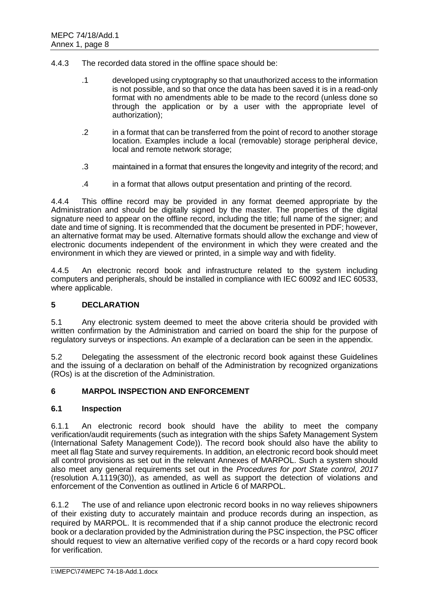- 4.4.3 The recorded data stored in the offline space should be:
	- .1 developed using cryptography so that unauthorized access to the information is not possible, and so that once the data has been saved it is in a read-only format with no amendments able to be made to the record (unless done so through the application or by a user with the appropriate level of authorization);
	- .2 in a format that can be transferred from the point of record to another storage location. Examples include a local (removable) storage peripheral device, local and remote network storage;
	- .3 maintained in a format that ensures the longevity and integrity of the record; and
	- .4 in a format that allows output presentation and printing of the record.

4.4.4 This offline record may be provided in any format deemed appropriate by the Administration and should be digitally signed by the master. The properties of the digital signature need to appear on the offline record, including the title; full name of the signer; and date and time of signing. It is recommended that the document be presented in PDF; however, an alternative format may be used. Alternative formats should allow the exchange and view of electronic documents independent of the environment in which they were created and the environment in which they are viewed or printed, in a simple way and with fidelity.

4.4.5 An electronic record book and infrastructure related to the system including computers and peripherals, should be installed in compliance with IEC 60092 and IEC 60533, where applicable.

# **5 DECLARATION**

5.1 Any electronic system deemed to meet the above criteria should be provided with written confirmation by the Administration and carried on board the ship for the purpose of regulatory surveys or inspections. An example of a declaration can be seen in the appendix.

5.2 Delegating the assessment of the electronic record book against these Guidelines and the issuing of a declaration on behalf of the Administration by recognized organizations (ROs) is at the discretion of the Administration.

### **6 MARPOL INSPECTION AND ENFORCEMENT**

#### **6.1 Inspection**

6.1.1 An electronic record book should have the ability to meet the company verification/audit requirements (such as integration with the ships Safety Management System (International Safety Management Code)). The record book should also have the ability to meet all flag State and survey requirements. In addition, an electronic record book should meet all control provisions as set out in the relevant Annexes of MARPOL. Such a system should also meet any general requirements set out in the *Procedures for port State control, 2017* (resolution A.1119(30)), as amended, as well as support the detection of violations and enforcement of the Convention as outlined in Article 6 of MARPOL.

6.1.2 The use of and reliance upon electronic record books in no way relieves shipowners of their existing duty to accurately maintain and produce records during an inspection, as required by MARPOL. It is recommended that if a ship cannot produce the electronic record book or a declaration provided by the Administration during the PSC inspection, the PSC officer should request to view an alternative verified copy of the records or a hard copy record book for verification.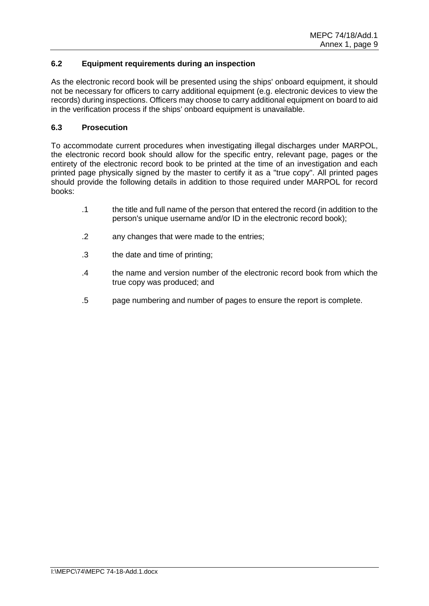# **6.2 Equipment requirements during an inspection**

As the electronic record book will be presented using the ships' onboard equipment, it should not be necessary for officers to carry additional equipment (e.g. electronic devices to view the records) during inspections. Officers may choose to carry additional equipment on board to aid in the verification process if the ships' onboard equipment is unavailable.

### **6.3 Prosecution**

To accommodate current procedures when investigating illegal discharges under MARPOL, the electronic record book should allow for the specific entry, relevant page, pages or the entirety of the electronic record book to be printed at the time of an investigation and each printed page physically signed by the master to certify it as a "true copy". All printed pages should provide the following details in addition to those required under MARPOL for record books:

- .1 the title and full name of the person that entered the record (in addition to the person's unique username and/or ID in the electronic record book);
- .2 any changes that were made to the entries;
- .3 the date and time of printing;
- .4 the name and version number of the electronic record book from which the true copy was produced; and
- .5 page numbering and number of pages to ensure the report is complete.